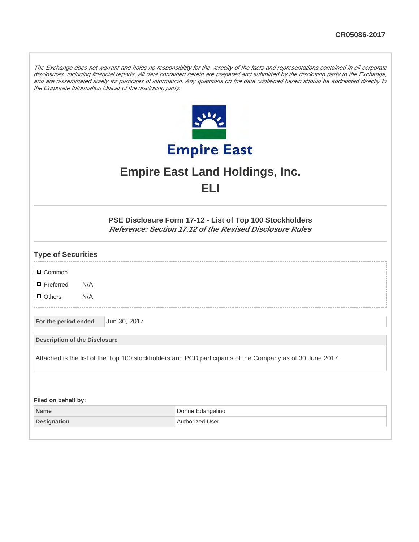The Exchange does not warrant and holds no responsibility for the veracity of the facts and representations contained in all corporate disclosures, including financial reports. All data contained herein are prepared and submitted by the disclosing party to the Exchange, and are disseminated solely for purposes of information. Any questions on the data contained herein should be addressed directly to the Corporate Information Officer of the disclosing party.



## **Empire East Land Holdings, Inc. ELI**

**PSE Disclosure Form 17-12 - List of Top 100 Stockholders Reference: Section 17.12 of the Revised Disclosure Rules**

| <b>Type of Securities</b>            |     |              |                                                                                                          |
|--------------------------------------|-----|--------------|----------------------------------------------------------------------------------------------------------|
| <b>Ø</b> Common                      |     |              |                                                                                                          |
| $\Box$ Preferred                     | N/A |              |                                                                                                          |
| $\Box$ Others                        | N/A |              |                                                                                                          |
| For the period ended                 |     | Jun 30, 2017 |                                                                                                          |
| <b>Description of the Disclosure</b> |     |              |                                                                                                          |
|                                      |     |              | Attached is the list of the Top 100 stockholders and PCD participants of the Company as of 30 June 2017. |
|                                      |     |              |                                                                                                          |
| Filed on behalf by:                  |     |              |                                                                                                          |
| <b>Name</b>                          |     |              | Dohrie Edangalino                                                                                        |

**Designation Authorized User**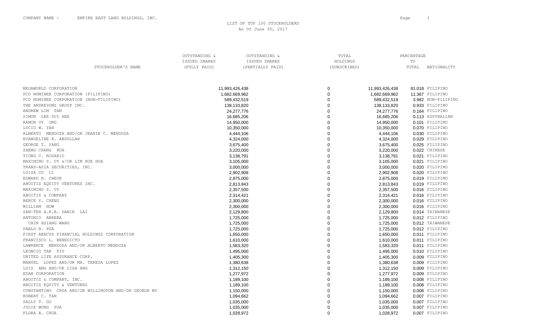LIST OF TOP 100 STOCKHOLDERS As Of June 30, 2017

|                                                     | OUTSTANDING & | OUTSTANDING &    | TOTAL          |                | PERCENTAGE |                    |
|-----------------------------------------------------|---------------|------------------|----------------|----------------|------------|--------------------|
|                                                     | ISSUED SHARES | ISSUED SHARES    | HOLDINGS       |                | TO         |                    |
| STOCKHOLDER'S NAME                                  | (FULLY PAID)  | (PARTIALLY PAID) | (SUBSCRIBED)   |                | TOTAL      | NATIONALITY        |
|                                                     |               |                  |                |                |            |                    |
|                                                     |               |                  |                |                |            |                    |
| MEGAWORLD CORPORATION                               |               | 11,993,426,438   | 0              | 11,993,426,438 |            | 81.018 FILIPINO    |
| PCD NOMINEE CORPORATION (FILIPINO)                  |               | 1,682,669,962    | $\Omega$       | 1,682,669,962  |            | 11.367 FILIPINO    |
| PCD NOMINEE CORPORATION (NON-FILIPINO)              |               | 589,432,519      | $\Omega$       | 589,432,519    |            | 3.982 NON-FILIPINO |
| THE ANDRESONS GROUP INC.                            |               | 138,133,820      | $\Omega$       | 138,133,820    |            | 0.933 FILIPINO     |
| ANDREW LIM TAN                                      |               | 24,277,776       | $\Omega$       | 24,277,776     |            | 0.164 FILIPINO     |
| SIMON LEE SUI HEE                                   |               | 16,685,206       | $\Omega$       | 16,685,206     |            | 0.113 AUSTRALIAN   |
| RAMON UY ONG                                        |               | 14,950,000       | $\Omega$       | 14,950,000     |            | 0.101 FILIPINO     |
| LUCIO W. YAN                                        |               | 10,350,000       | $\Omega$       | 10,350,000     |            | 0.070 FILIPINO     |
| ALBERTO MENDOZA AND/OR JEANIE C. MENDOZA            |               | 4,444,106        | $\Omega$       | 4,444,106      |            | 0.030 FILIPINO     |
| EVANGELINE R. ABDULLAH                              |               | 4,324,000        | $\Omega$       | 4,324,000      |            | 0.029 FILIPINO     |
| GEORGE T. YANG                                      |               | 3,675,400        | $\Omega$       | 3,675,400      |            | 0.025 FILIPINO     |
| ZHENG CHANG HUA                                     |               | 3,220,000        | $\Omega$       | 3,220,000      |            | 0.022 CHINESE      |
| TIONG C. ROSARIO                                    |               | 3,138,791        | $\Omega$       | 3,138,791      |            | 0.021 FILIPINO     |
| MAXIMINO S. UY &/OR LIM HUE HUA                     |               | 3,105,000        | $\overline{0}$ | 3,105,000      |            | 0.021 FILIPINO     |
| TRANS-ASIA SECURITIES, INC.                         |               | 3,000,000        | $\Omega$       | 3,000,000      |            | 0.020 FILIPINO     |
| LUISA CO LI                                         |               | 2,902,908        | $\Omega$       | 2,902,908      |            | 0.020 FILIPINO     |
| EDWARD N. CHEOK                                     |               | 2,875,000        | $\Omega$       | 2,875,000      |            | 0.019 FILIPINO     |
| ABOITIZ EQUITY VENTURES INC.                        |               | 2,813,843        | $\Omega$       | 2,813,843      |            | 0.019 FILIPINO     |
| MAXIMINO S. UY                                      |               | 2,357,500        | $\Omega$       | 2,357,500      |            | 0.016 FILIPINO     |
| ABOITIZ & COMPANY                                   |               | 2,314,421        | $\Omega$       | 2,314,421      |            | 0.016 FILIPINO     |
| BERCK Y. CHENG                                      |               | 2,300,000        | $\Omega$       | 2,300,000      |            | 0.016 FILIPINO     |
| WILLIAM HOW                                         |               | 2,300,000        | $\Omega$       | 2,300,000      |            | 0.016 FILIPINO     |
| SAN-TEH A.K.A. DANIE LAI                            |               | 2,129,800        | $\Omega$       | 2,129,800      |            | 0.014 TAIWANESE    |
| ANTONIO ABRERA                                      |               | 1,725,000        | $\Omega$       | 1,725,000      |            | 0.012 FILIPINO     |
| CHIN HSIANG WANG                                    |               | 1,725,000        | $\Omega$       | 1,725,000      |            | 0.012 TAIWANESE    |
| PABLO N. PUA                                        |               | 1,725,000        | $\Omega$       | 1,725,000      |            | 0.012 FILIPINO     |
| FIRST ABACUS FINANCIAL HOLDINGS CORPORATION         |               | 1,650,000        | $\Omega$       | 1,650,000      |            | 0.011 FILIPINO     |
| FRANCISCO L. BENEDICTO                              |               | 1,610,000        | $\Omega$       | 1,610,000      |            | 0.011 FILIPINO     |
| LAWRENCE MENDOZA AND/OR ALBERTO MENDOZA             |               | 1,583,320        | $\Omega$       | 1,583,320      |            | 0.011 FILIPINO     |
| LEONCIO TAN TIU                                     |               | 1,495,000        | $\Omega$       | 1,495,000      |            | 0.010 FILIPINO     |
| UNITED LIFE ASSURANCE CORP.                         |               | 1,405,300        | $\Omega$       | 1,405,300      |            | 0.009 FILIPINO     |
| MANUEL LOPEZ AND/OR MA. TERESA LOPEZ                |               | 1,380,638        | $\Omega$       | 1,380,638      |            | 0.009 FILIPINO     |
| LUIS ANG AND/OR LISA ANG                            |               | 1,312,150        | $\Omega$       | 1,312,150      |            | 0.009 FILIPINO     |
| EDAN CORPORATION                                    |               | 1,277,972        | $\Omega$       | 1,277,972      |            | 0.009 FILIPINO     |
| ABOITIZ & COMPANY, INC.                             |               | 1,189,100        | $\Omega$       | 1,189,100      |            | 0.008 FILIPINO     |
| ABOITIZ EQUITY & VENTURES                           |               | 1,189,100        | $\Omega$       | 1,189,100      |            | 0.008 FILIPINO     |
| CONSTANTINO CHUA AND/OR WILLINGTON AND/OR GEORGE WY |               | 1,150,000        | $\Omega$       | 1,150,000      |            | 0.008 FILIPINO     |
| ROBERT C. TAN                                       |               | 1,094,662        | $\Omega$       | 1,094,662      |            | 0.007 FILIPINO     |
| SALLY T. GO                                         |               | 1,035,000        | O              | 1,035,000      |            | 0.007 FILIPINO     |
| JULIE WONG PUA                                      |               | 1,035,000        | $\Omega$       | 1,035,000      |            | 0.007 FILIPINO     |
| FLORA B. CHUA                                       |               | 1,028,972        | $\Omega$       | 1,028,972      |            | 0.007 FILIPINO     |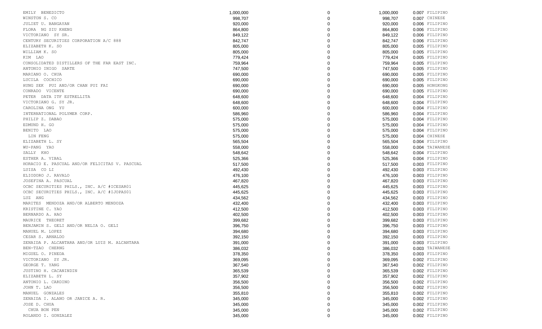| EMILY BENEDICTO                                | 1,000,000          | 0        | 1,000,000          | 0.007 FILIPINO  |
|------------------------------------------------|--------------------|----------|--------------------|-----------------|
| WINSTON S. CO                                  | 998,707            |          | 998,707            | 0.007 CHINESE   |
| JULIET U. BANGAYAN                             | 920,000            |          | 920,000            | 0.006 FILIPINO  |
| FLORA NG SIU KHENG                             | 864,800            |          | 864,800            | 0.006 FILIPINO  |
| VICTORIANO SY SR.                              | 849,122            |          | 849,122            | 0.006 FILIPINO  |
| CENTURY SECURITIES CORPORATION A/C 888         | 842,747            |          | 842,747            | 0.006 FILIPINO  |
| ELIZABETH K. SO                                | 805,000            |          | 805,000            | 0.005 FILIPINO  |
| WILLIAM K. SO                                  | 805,000            |          | 805,000            | 0.005 FILIPINO  |
| KIM LAO                                        | 779,424            |          | 779,424            | 0.005 FILIPINO  |
| CONSOLIDATED DISTILLERS OF THE FAR EAST INC.   | 759,964            |          | 759,964            | 0.005 FILIPINO  |
| ANTONIO INIGO SARTE                            | 747,500            |          | 747,500            | 0.005 FILIPINO  |
| MARIANO O. CHUA                                | 690,000            |          | 690,000            | 0.005 FILIPINO  |
| LUCILA COCHICO                                 | 690,000            |          | 690,000            | 0.005 FILIPINO  |
| HUNG SEK PUI AND/OR CHAN PUI FAI               | 690,000            |          | 690,000            | 0.005 HONGKONG  |
| CONRADO VICENTE                                | 690,000            |          | 690,000            | 0.005 FILIPINO  |
| PETER DATA ITF ESTRELLITA                      | 648,600            |          | 648,600            | 0.004 FILIPINO  |
| VICTORIANO G. SY JR.                           | 648,600            |          | 648,600            | 0.004 FILIPINO  |
| CAROLINA ONG YU                                | 600,000            |          | 600,000            | 0.004 FILIPINO  |
| INTERNATIONAL POLYMER CORP.                    | 586,960            |          | 586,960            | 0.004 FILIPINO  |
| PHILIP Z. DABAO                                | 575,000            |          | 575,000            | 0.004 FILIPINO  |
| EDMUND H. GO                                   | 575,000            |          | 575,000            | 0.004 FILIPINO  |
| BENITO LAO                                     | 575,000            |          | 575,000            | 0.004 FILIPINO  |
| LIN FENG                                       | 575,000            |          | 575,000            | 0.004 CHINESE   |
| ELIZABETH L. SY                                | 565,504            |          | 565,504            | 0.004 FILIPINO  |
| WU-PANG YAO                                    | 558,000            |          | 558,000            | 0.004 TAIWANESE |
| SALLY KHO                                      | 548,642            |          | 548,642            | 0.004 FILIPINO  |
| ESTHER A. VIBAL                                | 525,366            |          | 525,366            | 0.004 FILIPINO  |
| HORACIO E. PASCUAL AND/OR FELICITAS V. PASCUAL | 517,500            |          | 517,500            | 0.003 FILIPINO  |
| LUISA CO LI                                    | 492,430            |          | 492,430            | 0.003 FILIPINO  |
| ELIODORO J. RAVALO                             | 476,100            |          | 476,100            | 0.003 FILIPINO  |
| JOSEFINA A. PASCUAL                            |                    |          |                    | 0.003 FILIPINO  |
| OCBC SECURITIES PHILS., INC. A/C #ICESAR01     | 467,820<br>445,625 |          | 467,820<br>445,625 | 0.003 FILIPINO  |
|                                                |                    |          |                    |                 |
| OCBC SECURITIES PHILS., INC. A/C #IJOPAS01     | 445,625            |          | 445,625            | 0.003 FILIPINO  |
| LUZ ANG                                        | 434,562            |          | 434,562            | 0.003 FILIPINO  |
| MARITES MENDOZA AND/OR ALBERTO MENDOZA         | 432,400            |          | 432,400            | 0.003 FILIPINO  |
| KRISTINE C. YAO                                | 412,500            |          | 412,500            | 0.003 FILIPINO  |
| BERNARDO A. HAO                                | 402,500            |          | 402,500            | 0.003 FILIPINO  |
| MAURICE THEORET                                | 399,682            |          | 399,682            | 0.003 FILIPINO  |
| BENJAMIN S. GELI AND/OR NELIA O. GELI          | 396,750            |          | 396,750            | 0.003 FILIPINO  |
| MANUEL M. LOPEZ                                | 394,680            |          | 394,680            | 0.003 FILIPINO  |
| CESAR S. ARNALDO                               | 392,150            |          | 392,150            | 0.003 FILIPINO  |
| ZENAIDA P. ALCANTARA AND/OR LUIS M. ALCANTARA  | 391,000            |          | 391,000            | 0.003 FILIPINO  |
| BEN-TZAO CHERNG                                | 386,032            | $\Omega$ | 386,032            | 0.003 TAIWANESE |
| MIGUEL O. PINEDA                               | 378,350            | 0        | 378,350            | 0.003 FILIPINO  |
| VICTORIANO SY JR.                              | 369,095            | 0        | 369,095            | 0.002 FILIPINO  |
| GEORGE T. YANG                                 | 367,540            |          | 367,540            | 0.002 FILIPINO  |
| JUSTINO H. CACANINDIN                          | 365,539            |          | 365,539            | 0.002 FILIPINO  |
| ELIZABETH L. SY                                | 357,902            |          | 357,902            | 0.002 FILIPINO  |
| ANTONIO L. CARDINO                             | 356,500            | 0        | 356,500            | 0.002 FILIPINO  |
| JOHN T. LAO                                    | 356,500            |          | 356,500            | 0.002 FILIPINO  |
| MANUEL GONZALES                                | 355,810            |          | 355,810            | 0.002 FILIPINO  |
| ZENAIDA I. ALANO OR JANICE A. R.               | 345,000            |          | 345,000            | 0.002 FILIPINO  |
| JOSE D. CHUA                                   | 345,000            | 0        | 345,000            | 0.002 FILIPINO  |
| CHUA BON PEN                                   | 345,000            | 0        | 345,000            | 0.002 FILIPINO  |
| ROLANDO I. GONZALEZ                            | 345,000            | 0        | 345,000            | 0.002 FILIPINO  |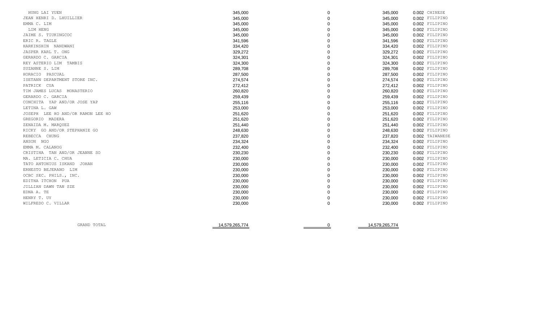| HUNG LAI YUEN                     | 345,000 | 0 | 0.002 CHINESE<br>345,000   |  |
|-----------------------------------|---------|---|----------------------------|--|
| JEAN HENRI D. LHUILLIER           | 345,000 |   | 345,000<br>0.002 FILIPINO  |  |
| EMMA C. LIM                       | 345,000 |   | 0.002 FILIPINO<br>345,000  |  |
| LIM HENG                          | 345,000 |   | 345,000<br>0.002 FILIPINO  |  |
| JAIME S. TIUKINGCOC               | 345,000 |   | 0.002 FILIPINO<br>345,000  |  |
| ERIC R. TAGLE                     | 341,596 |   | 341,596<br>0.002 FILIPINO  |  |
| HARKINSHIN NANDWANI               | 334,420 |   | 0.002 FILIPINO<br>334,420  |  |
| JASPER KARL T. ONG                | 329,272 |   | 329,272<br>0.002 FILIPINO  |  |
| GERARDO C. GARCIA                 | 324,301 |   | 324,301<br>0.002 FILIPINO  |  |
| REY ASTERIO LIM TAMBIS            | 324,300 |   | 324,300<br>0.002 FILIPINO  |  |
| SUZANNE S. LIM                    | 289,708 |   | 289,708<br>0.002 FILIPINO  |  |
| HORACIO PASCUAL                   | 287,500 |   | 287,500<br>0.002 FILIPINO  |  |
| ISETANN DEPARTMENT STORE INC.     | 274,574 |   | 274,574<br>0.002 FILIPINO  |  |
| PATRICK CUA                       | 272,412 |   | 0.002 FILIPINO<br>272,412  |  |
| TIM JAMES LUCAS MONASTERIO        | 260,820 |   | 0.002 FILIPINO<br>260,820  |  |
| GERARDO C. GARCIA                 | 259,439 |   | 0.002 FILIPINO<br>259,439  |  |
| CONCHITA YAP AND/OR JOSE YAP      | 255,116 |   | 0.002 FILIPINO<br>255,116  |  |
| LETINA L. GAW                     | 253,000 |   | 0.002 FILIPINO<br>253,000  |  |
| JOSEPH LEE HO AND/OR RAMON LEE HO | 251,620 |   | 0.002 FILIPINO<br>251,620  |  |
| GREGORIO MADERA                   | 251,620 |   | 251,620<br>0.002 FILIPINO  |  |
| ZENAIDA M. MARQUEZ                | 251,440 |   | 251,440<br>0.002 FILIPINO  |  |
| RICKY GO AND/OR STEPHANIE GO      | 248,630 |   | 248,630<br>0.002 FILIPINO  |  |
| REBECCA CHUNG                     | 237,820 |   | 237,820<br>0.002 TAIWANESE |  |
| ANSON NGO                         | 234,324 |   | 0.002 FILIPINO<br>234,324  |  |
| EMMA M. CALANOG                   | 232,400 |   | 0.002 FILIPINO<br>232,400  |  |
| CRISTINA TAN AND/OR JEANNE SO     | 230,230 |   | 0.002 FILIPINO<br>230,230  |  |
| MA. LETICIA C. CHUA               | 230,000 |   | 0.002 FILIPINO<br>230,000  |  |
| TATO ANTONIUS ISKAND JOHAN        | 230,000 |   | 0.002 FILIPINO<br>230,000  |  |
| ERNESTO BEJERANO LIM              | 230,000 |   | 0.002 FILIPINO<br>230,000  |  |
| OCBC SEC. PHILS., INC.            | 230,000 |   | 230,000<br>0.002 FILIPINO  |  |
| EDITHA ITCHON PUA                 | 230,000 |   | 230,000<br>0.002 FILIPINO  |  |
| JILLIAN DAWN TAN SZE              | 230,000 |   | 0.002 FILIPINO<br>230,000  |  |
| EDNA A. TE                        | 230,000 |   | 230,000<br>0.002 FILIPINO  |  |
| HENRY T. UY                       | 230,000 |   | 230,000<br>0.002 FILIPINO  |  |
| WILFREDO C. VILLAR                | 230,000 |   | 230,000<br>0.002 FILIPINO  |  |
|                                   |         |   |                            |  |

| GRAND TOTAL | 14,579,265,774 | 14.579.265.77<br>114 |
|-------------|----------------|----------------------|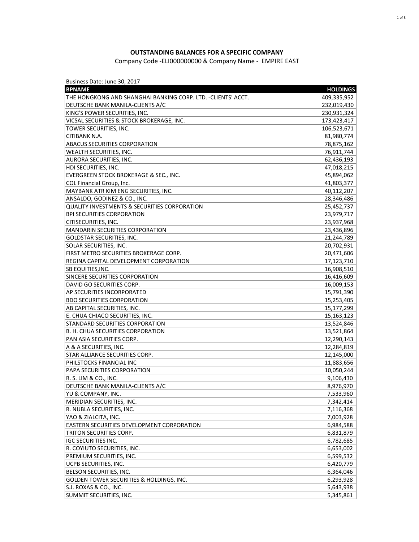## **OUTSTANDING BALANCES FOR A SPECIFIC COMPANY**

## Company Code -ELI000000000 & Company Name - EMPIRE EAST

Business Date: June 30, 2017

| THE HONGKONG AND SHANGHAI BANKING CORP. LTD. - CLIENTS' ACCT.<br>409,335,952<br>DEUTSCHE BANK MANILA-CLIENTS A/C<br>232,019,430<br>KING'S POWER SECURITIES, INC.<br>230,931,324<br>VICSAL SECURITIES & STOCK BROKERAGE, INC.<br>173,423,417<br>TOWER SECURITIES, INC.<br>106,523,671<br>CITIBANK N.A.<br>81,980,774<br>ABACUS SECURITIES CORPORATION<br>78,875,162<br>WEALTH SECURITIES, INC.<br>76,911,744<br>AURORA SECURITIES, INC.<br>62,436,193<br>47,018,215<br>HDI SECURITIES, INC.<br>EVERGREEN STOCK BROKERAGE & SEC., INC.<br>45,894,062<br>COL Financial Group, Inc.<br>41,803,377<br>MAYBANK ATR KIM ENG SECURITIES, INC.<br>40,112,207<br>ANSALDO, GODINEZ & CO., INC.<br>28,346,486<br><b>QUALITY INVESTMENTS &amp; SECURITIES CORPORATION</b><br>25,452,737<br><b>BPI SECURITIES CORPORATION</b><br>23,979,717<br>CITISECURITIES, INC.<br>23,937,968<br><b>MANDARIN SECURITIES CORPORATION</b><br>23,436,896<br><b>GOLDSTAR SECURITIES, INC.</b><br>21,244,789<br>SOLAR SECURITIES, INC.<br>20,702,931<br>FIRST METRO SECURITIES BROKERAGE CORP.<br>20,471,606<br>REGINA CAPITAL DEVELOPMENT CORPORATION<br>17,123,710<br>SB EQUITIES, INC.<br>16,908,510<br>SINCERE SECURITIES CORPORATION<br>16,416,609<br>DAVID GO SECURITIES CORP.<br>16,009,153<br>AP SECURITIES INCORPORATED<br>15,791,390<br><b>BDO SECURITIES CORPORATION</b><br>15,253,405<br>AB CAPITAL SECURITIES, INC.<br>15,177,299<br>E. CHUA CHIACO SECURITIES, INC.<br>15,163,123<br>STANDARD SECURITIES CORPORATION<br>13,524,846<br>B. H. CHUA SECURITIES CORPORATION<br>13,521,864<br>12,290,143<br>PAN ASIA SECURITIES CORP.<br>A & A SECURITIES, INC.<br>12,284,819<br>STAR ALLIANCE SECURITIES CORP.<br>12,145,000<br>PHILSTOCKS FINANCIAL INC<br>11,883,656<br>PAPA SECURITIES CORPORATION<br>10,050,244<br>R. S. LIM & CO., INC.<br>9,106,430<br>DEUTSCHE BANK MANILA-CLIENTS A/C<br>8,976,970<br>YU & COMPANY, INC.<br>7,533,960<br>MERIDIAN SECURITIES, INC.<br>7,342,414<br>R. NUBLA SECURITIES, INC.<br>7,116,368<br>YAO & ZIALCITA, INC.<br>7,003,928<br>EASTERN SECURITIES DEVELOPMENT CORPORATION<br>6,984,588<br>TRITON SECURITIES CORP.<br>6,831,879<br><b>IGC SECURITIES INC.</b><br>6,782,685<br>R. COYIUTO SECURITIES, INC.<br>6,653,002<br>PREMIUM SECURITIES, INC.<br>6,599,532<br>UCPB SECURITIES, INC.<br>6,420,779<br>BELSON SECURITIES, INC.<br>6,364,046<br>GOLDEN TOWER SECURITIES & HOLDINGS, INC.<br>6,293,928<br>S.J. ROXAS & CO., INC.<br>5,643,938<br>SUMMIT SECURITIES, INC.<br>5,345,861 | <b>BPNAME</b> | <b>HOLDINGS</b> |
|------------------------------------------------------------------------------------------------------------------------------------------------------------------------------------------------------------------------------------------------------------------------------------------------------------------------------------------------------------------------------------------------------------------------------------------------------------------------------------------------------------------------------------------------------------------------------------------------------------------------------------------------------------------------------------------------------------------------------------------------------------------------------------------------------------------------------------------------------------------------------------------------------------------------------------------------------------------------------------------------------------------------------------------------------------------------------------------------------------------------------------------------------------------------------------------------------------------------------------------------------------------------------------------------------------------------------------------------------------------------------------------------------------------------------------------------------------------------------------------------------------------------------------------------------------------------------------------------------------------------------------------------------------------------------------------------------------------------------------------------------------------------------------------------------------------------------------------------------------------------------------------------------------------------------------------------------------------------------------------------------------------------------------------------------------------------------------------------------------------------------------------------------------------------------------------------------------------------------------------------------------------------------------------------------------------------------------------------------------------------------------------------------------------------------------------------------------------------------------------------------------|---------------|-----------------|
|                                                                                                                                                                                                                                                                                                                                                                                                                                                                                                                                                                                                                                                                                                                                                                                                                                                                                                                                                                                                                                                                                                                                                                                                                                                                                                                                                                                                                                                                                                                                                                                                                                                                                                                                                                                                                                                                                                                                                                                                                                                                                                                                                                                                                                                                                                                                                                                                                                                                                                            |               |                 |
|                                                                                                                                                                                                                                                                                                                                                                                                                                                                                                                                                                                                                                                                                                                                                                                                                                                                                                                                                                                                                                                                                                                                                                                                                                                                                                                                                                                                                                                                                                                                                                                                                                                                                                                                                                                                                                                                                                                                                                                                                                                                                                                                                                                                                                                                                                                                                                                                                                                                                                            |               |                 |
|                                                                                                                                                                                                                                                                                                                                                                                                                                                                                                                                                                                                                                                                                                                                                                                                                                                                                                                                                                                                                                                                                                                                                                                                                                                                                                                                                                                                                                                                                                                                                                                                                                                                                                                                                                                                                                                                                                                                                                                                                                                                                                                                                                                                                                                                                                                                                                                                                                                                                                            |               |                 |
|                                                                                                                                                                                                                                                                                                                                                                                                                                                                                                                                                                                                                                                                                                                                                                                                                                                                                                                                                                                                                                                                                                                                                                                                                                                                                                                                                                                                                                                                                                                                                                                                                                                                                                                                                                                                                                                                                                                                                                                                                                                                                                                                                                                                                                                                                                                                                                                                                                                                                                            |               |                 |
|                                                                                                                                                                                                                                                                                                                                                                                                                                                                                                                                                                                                                                                                                                                                                                                                                                                                                                                                                                                                                                                                                                                                                                                                                                                                                                                                                                                                                                                                                                                                                                                                                                                                                                                                                                                                                                                                                                                                                                                                                                                                                                                                                                                                                                                                                                                                                                                                                                                                                                            |               |                 |
|                                                                                                                                                                                                                                                                                                                                                                                                                                                                                                                                                                                                                                                                                                                                                                                                                                                                                                                                                                                                                                                                                                                                                                                                                                                                                                                                                                                                                                                                                                                                                                                                                                                                                                                                                                                                                                                                                                                                                                                                                                                                                                                                                                                                                                                                                                                                                                                                                                                                                                            |               |                 |
|                                                                                                                                                                                                                                                                                                                                                                                                                                                                                                                                                                                                                                                                                                                                                                                                                                                                                                                                                                                                                                                                                                                                                                                                                                                                                                                                                                                                                                                                                                                                                                                                                                                                                                                                                                                                                                                                                                                                                                                                                                                                                                                                                                                                                                                                                                                                                                                                                                                                                                            |               |                 |
|                                                                                                                                                                                                                                                                                                                                                                                                                                                                                                                                                                                                                                                                                                                                                                                                                                                                                                                                                                                                                                                                                                                                                                                                                                                                                                                                                                                                                                                                                                                                                                                                                                                                                                                                                                                                                                                                                                                                                                                                                                                                                                                                                                                                                                                                                                                                                                                                                                                                                                            |               |                 |
|                                                                                                                                                                                                                                                                                                                                                                                                                                                                                                                                                                                                                                                                                                                                                                                                                                                                                                                                                                                                                                                                                                                                                                                                                                                                                                                                                                                                                                                                                                                                                                                                                                                                                                                                                                                                                                                                                                                                                                                                                                                                                                                                                                                                                                                                                                                                                                                                                                                                                                            |               |                 |
|                                                                                                                                                                                                                                                                                                                                                                                                                                                                                                                                                                                                                                                                                                                                                                                                                                                                                                                                                                                                                                                                                                                                                                                                                                                                                                                                                                                                                                                                                                                                                                                                                                                                                                                                                                                                                                                                                                                                                                                                                                                                                                                                                                                                                                                                                                                                                                                                                                                                                                            |               |                 |
|                                                                                                                                                                                                                                                                                                                                                                                                                                                                                                                                                                                                                                                                                                                                                                                                                                                                                                                                                                                                                                                                                                                                                                                                                                                                                                                                                                                                                                                                                                                                                                                                                                                                                                                                                                                                                                                                                                                                                                                                                                                                                                                                                                                                                                                                                                                                                                                                                                                                                                            |               |                 |
|                                                                                                                                                                                                                                                                                                                                                                                                                                                                                                                                                                                                                                                                                                                                                                                                                                                                                                                                                                                                                                                                                                                                                                                                                                                                                                                                                                                                                                                                                                                                                                                                                                                                                                                                                                                                                                                                                                                                                                                                                                                                                                                                                                                                                                                                                                                                                                                                                                                                                                            |               |                 |
|                                                                                                                                                                                                                                                                                                                                                                                                                                                                                                                                                                                                                                                                                                                                                                                                                                                                                                                                                                                                                                                                                                                                                                                                                                                                                                                                                                                                                                                                                                                                                                                                                                                                                                                                                                                                                                                                                                                                                                                                                                                                                                                                                                                                                                                                                                                                                                                                                                                                                                            |               |                 |
|                                                                                                                                                                                                                                                                                                                                                                                                                                                                                                                                                                                                                                                                                                                                                                                                                                                                                                                                                                                                                                                                                                                                                                                                                                                                                                                                                                                                                                                                                                                                                                                                                                                                                                                                                                                                                                                                                                                                                                                                                                                                                                                                                                                                                                                                                                                                                                                                                                                                                                            |               |                 |
|                                                                                                                                                                                                                                                                                                                                                                                                                                                                                                                                                                                                                                                                                                                                                                                                                                                                                                                                                                                                                                                                                                                                                                                                                                                                                                                                                                                                                                                                                                                                                                                                                                                                                                                                                                                                                                                                                                                                                                                                                                                                                                                                                                                                                                                                                                                                                                                                                                                                                                            |               |                 |
|                                                                                                                                                                                                                                                                                                                                                                                                                                                                                                                                                                                                                                                                                                                                                                                                                                                                                                                                                                                                                                                                                                                                                                                                                                                                                                                                                                                                                                                                                                                                                                                                                                                                                                                                                                                                                                                                                                                                                                                                                                                                                                                                                                                                                                                                                                                                                                                                                                                                                                            |               |                 |
|                                                                                                                                                                                                                                                                                                                                                                                                                                                                                                                                                                                                                                                                                                                                                                                                                                                                                                                                                                                                                                                                                                                                                                                                                                                                                                                                                                                                                                                                                                                                                                                                                                                                                                                                                                                                                                                                                                                                                                                                                                                                                                                                                                                                                                                                                                                                                                                                                                                                                                            |               |                 |
|                                                                                                                                                                                                                                                                                                                                                                                                                                                                                                                                                                                                                                                                                                                                                                                                                                                                                                                                                                                                                                                                                                                                                                                                                                                                                                                                                                                                                                                                                                                                                                                                                                                                                                                                                                                                                                                                                                                                                                                                                                                                                                                                                                                                                                                                                                                                                                                                                                                                                                            |               |                 |
|                                                                                                                                                                                                                                                                                                                                                                                                                                                                                                                                                                                                                                                                                                                                                                                                                                                                                                                                                                                                                                                                                                                                                                                                                                                                                                                                                                                                                                                                                                                                                                                                                                                                                                                                                                                                                                                                                                                                                                                                                                                                                                                                                                                                                                                                                                                                                                                                                                                                                                            |               |                 |
|                                                                                                                                                                                                                                                                                                                                                                                                                                                                                                                                                                                                                                                                                                                                                                                                                                                                                                                                                                                                                                                                                                                                                                                                                                                                                                                                                                                                                                                                                                                                                                                                                                                                                                                                                                                                                                                                                                                                                                                                                                                                                                                                                                                                                                                                                                                                                                                                                                                                                                            |               |                 |
|                                                                                                                                                                                                                                                                                                                                                                                                                                                                                                                                                                                                                                                                                                                                                                                                                                                                                                                                                                                                                                                                                                                                                                                                                                                                                                                                                                                                                                                                                                                                                                                                                                                                                                                                                                                                                                                                                                                                                                                                                                                                                                                                                                                                                                                                                                                                                                                                                                                                                                            |               |                 |
|                                                                                                                                                                                                                                                                                                                                                                                                                                                                                                                                                                                                                                                                                                                                                                                                                                                                                                                                                                                                                                                                                                                                                                                                                                                                                                                                                                                                                                                                                                                                                                                                                                                                                                                                                                                                                                                                                                                                                                                                                                                                                                                                                                                                                                                                                                                                                                                                                                                                                                            |               |                 |
|                                                                                                                                                                                                                                                                                                                                                                                                                                                                                                                                                                                                                                                                                                                                                                                                                                                                                                                                                                                                                                                                                                                                                                                                                                                                                                                                                                                                                                                                                                                                                                                                                                                                                                                                                                                                                                                                                                                                                                                                                                                                                                                                                                                                                                                                                                                                                                                                                                                                                                            |               |                 |
|                                                                                                                                                                                                                                                                                                                                                                                                                                                                                                                                                                                                                                                                                                                                                                                                                                                                                                                                                                                                                                                                                                                                                                                                                                                                                                                                                                                                                                                                                                                                                                                                                                                                                                                                                                                                                                                                                                                                                                                                                                                                                                                                                                                                                                                                                                                                                                                                                                                                                                            |               |                 |
|                                                                                                                                                                                                                                                                                                                                                                                                                                                                                                                                                                                                                                                                                                                                                                                                                                                                                                                                                                                                                                                                                                                                                                                                                                                                                                                                                                                                                                                                                                                                                                                                                                                                                                                                                                                                                                                                                                                                                                                                                                                                                                                                                                                                                                                                                                                                                                                                                                                                                                            |               |                 |
|                                                                                                                                                                                                                                                                                                                                                                                                                                                                                                                                                                                                                                                                                                                                                                                                                                                                                                                                                                                                                                                                                                                                                                                                                                                                                                                                                                                                                                                                                                                                                                                                                                                                                                                                                                                                                                                                                                                                                                                                                                                                                                                                                                                                                                                                                                                                                                                                                                                                                                            |               |                 |
|                                                                                                                                                                                                                                                                                                                                                                                                                                                                                                                                                                                                                                                                                                                                                                                                                                                                                                                                                                                                                                                                                                                                                                                                                                                                                                                                                                                                                                                                                                                                                                                                                                                                                                                                                                                                                                                                                                                                                                                                                                                                                                                                                                                                                                                                                                                                                                                                                                                                                                            |               |                 |
|                                                                                                                                                                                                                                                                                                                                                                                                                                                                                                                                                                                                                                                                                                                                                                                                                                                                                                                                                                                                                                                                                                                                                                                                                                                                                                                                                                                                                                                                                                                                                                                                                                                                                                                                                                                                                                                                                                                                                                                                                                                                                                                                                                                                                                                                                                                                                                                                                                                                                                            |               |                 |
|                                                                                                                                                                                                                                                                                                                                                                                                                                                                                                                                                                                                                                                                                                                                                                                                                                                                                                                                                                                                                                                                                                                                                                                                                                                                                                                                                                                                                                                                                                                                                                                                                                                                                                                                                                                                                                                                                                                                                                                                                                                                                                                                                                                                                                                                                                                                                                                                                                                                                                            |               |                 |
|                                                                                                                                                                                                                                                                                                                                                                                                                                                                                                                                                                                                                                                                                                                                                                                                                                                                                                                                                                                                                                                                                                                                                                                                                                                                                                                                                                                                                                                                                                                                                                                                                                                                                                                                                                                                                                                                                                                                                                                                                                                                                                                                                                                                                                                                                                                                                                                                                                                                                                            |               |                 |
|                                                                                                                                                                                                                                                                                                                                                                                                                                                                                                                                                                                                                                                                                                                                                                                                                                                                                                                                                                                                                                                                                                                                                                                                                                                                                                                                                                                                                                                                                                                                                                                                                                                                                                                                                                                                                                                                                                                                                                                                                                                                                                                                                                                                                                                                                                                                                                                                                                                                                                            |               |                 |
|                                                                                                                                                                                                                                                                                                                                                                                                                                                                                                                                                                                                                                                                                                                                                                                                                                                                                                                                                                                                                                                                                                                                                                                                                                                                                                                                                                                                                                                                                                                                                                                                                                                                                                                                                                                                                                                                                                                                                                                                                                                                                                                                                                                                                                                                                                                                                                                                                                                                                                            |               |                 |
|                                                                                                                                                                                                                                                                                                                                                                                                                                                                                                                                                                                                                                                                                                                                                                                                                                                                                                                                                                                                                                                                                                                                                                                                                                                                                                                                                                                                                                                                                                                                                                                                                                                                                                                                                                                                                                                                                                                                                                                                                                                                                                                                                                                                                                                                                                                                                                                                                                                                                                            |               |                 |
|                                                                                                                                                                                                                                                                                                                                                                                                                                                                                                                                                                                                                                                                                                                                                                                                                                                                                                                                                                                                                                                                                                                                                                                                                                                                                                                                                                                                                                                                                                                                                                                                                                                                                                                                                                                                                                                                                                                                                                                                                                                                                                                                                                                                                                                                                                                                                                                                                                                                                                            |               |                 |
|                                                                                                                                                                                                                                                                                                                                                                                                                                                                                                                                                                                                                                                                                                                                                                                                                                                                                                                                                                                                                                                                                                                                                                                                                                                                                                                                                                                                                                                                                                                                                                                                                                                                                                                                                                                                                                                                                                                                                                                                                                                                                                                                                                                                                                                                                                                                                                                                                                                                                                            |               |                 |
|                                                                                                                                                                                                                                                                                                                                                                                                                                                                                                                                                                                                                                                                                                                                                                                                                                                                                                                                                                                                                                                                                                                                                                                                                                                                                                                                                                                                                                                                                                                                                                                                                                                                                                                                                                                                                                                                                                                                                                                                                                                                                                                                                                                                                                                                                                                                                                                                                                                                                                            |               |                 |
|                                                                                                                                                                                                                                                                                                                                                                                                                                                                                                                                                                                                                                                                                                                                                                                                                                                                                                                                                                                                                                                                                                                                                                                                                                                                                                                                                                                                                                                                                                                                                                                                                                                                                                                                                                                                                                                                                                                                                                                                                                                                                                                                                                                                                                                                                                                                                                                                                                                                                                            |               |                 |
|                                                                                                                                                                                                                                                                                                                                                                                                                                                                                                                                                                                                                                                                                                                                                                                                                                                                                                                                                                                                                                                                                                                                                                                                                                                                                                                                                                                                                                                                                                                                                                                                                                                                                                                                                                                                                                                                                                                                                                                                                                                                                                                                                                                                                                                                                                                                                                                                                                                                                                            |               |                 |
|                                                                                                                                                                                                                                                                                                                                                                                                                                                                                                                                                                                                                                                                                                                                                                                                                                                                                                                                                                                                                                                                                                                                                                                                                                                                                                                                                                                                                                                                                                                                                                                                                                                                                                                                                                                                                                                                                                                                                                                                                                                                                                                                                                                                                                                                                                                                                                                                                                                                                                            |               |                 |
|                                                                                                                                                                                                                                                                                                                                                                                                                                                                                                                                                                                                                                                                                                                                                                                                                                                                                                                                                                                                                                                                                                                                                                                                                                                                                                                                                                                                                                                                                                                                                                                                                                                                                                                                                                                                                                                                                                                                                                                                                                                                                                                                                                                                                                                                                                                                                                                                                                                                                                            |               |                 |
|                                                                                                                                                                                                                                                                                                                                                                                                                                                                                                                                                                                                                                                                                                                                                                                                                                                                                                                                                                                                                                                                                                                                                                                                                                                                                                                                                                                                                                                                                                                                                                                                                                                                                                                                                                                                                                                                                                                                                                                                                                                                                                                                                                                                                                                                                                                                                                                                                                                                                                            |               |                 |
|                                                                                                                                                                                                                                                                                                                                                                                                                                                                                                                                                                                                                                                                                                                                                                                                                                                                                                                                                                                                                                                                                                                                                                                                                                                                                                                                                                                                                                                                                                                                                                                                                                                                                                                                                                                                                                                                                                                                                                                                                                                                                                                                                                                                                                                                                                                                                                                                                                                                                                            |               |                 |
|                                                                                                                                                                                                                                                                                                                                                                                                                                                                                                                                                                                                                                                                                                                                                                                                                                                                                                                                                                                                                                                                                                                                                                                                                                                                                                                                                                                                                                                                                                                                                                                                                                                                                                                                                                                                                                                                                                                                                                                                                                                                                                                                                                                                                                                                                                                                                                                                                                                                                                            |               |                 |
|                                                                                                                                                                                                                                                                                                                                                                                                                                                                                                                                                                                                                                                                                                                                                                                                                                                                                                                                                                                                                                                                                                                                                                                                                                                                                                                                                                                                                                                                                                                                                                                                                                                                                                                                                                                                                                                                                                                                                                                                                                                                                                                                                                                                                                                                                                                                                                                                                                                                                                            |               |                 |
|                                                                                                                                                                                                                                                                                                                                                                                                                                                                                                                                                                                                                                                                                                                                                                                                                                                                                                                                                                                                                                                                                                                                                                                                                                                                                                                                                                                                                                                                                                                                                                                                                                                                                                                                                                                                                                                                                                                                                                                                                                                                                                                                                                                                                                                                                                                                                                                                                                                                                                            |               |                 |
|                                                                                                                                                                                                                                                                                                                                                                                                                                                                                                                                                                                                                                                                                                                                                                                                                                                                                                                                                                                                                                                                                                                                                                                                                                                                                                                                                                                                                                                                                                                                                                                                                                                                                                                                                                                                                                                                                                                                                                                                                                                                                                                                                                                                                                                                                                                                                                                                                                                                                                            |               |                 |
|                                                                                                                                                                                                                                                                                                                                                                                                                                                                                                                                                                                                                                                                                                                                                                                                                                                                                                                                                                                                                                                                                                                                                                                                                                                                                                                                                                                                                                                                                                                                                                                                                                                                                                                                                                                                                                                                                                                                                                                                                                                                                                                                                                                                                                                                                                                                                                                                                                                                                                            |               |                 |
|                                                                                                                                                                                                                                                                                                                                                                                                                                                                                                                                                                                                                                                                                                                                                                                                                                                                                                                                                                                                                                                                                                                                                                                                                                                                                                                                                                                                                                                                                                                                                                                                                                                                                                                                                                                                                                                                                                                                                                                                                                                                                                                                                                                                                                                                                                                                                                                                                                                                                                            |               |                 |
|                                                                                                                                                                                                                                                                                                                                                                                                                                                                                                                                                                                                                                                                                                                                                                                                                                                                                                                                                                                                                                                                                                                                                                                                                                                                                                                                                                                                                                                                                                                                                                                                                                                                                                                                                                                                                                                                                                                                                                                                                                                                                                                                                                                                                                                                                                                                                                                                                                                                                                            |               |                 |
|                                                                                                                                                                                                                                                                                                                                                                                                                                                                                                                                                                                                                                                                                                                                                                                                                                                                                                                                                                                                                                                                                                                                                                                                                                                                                                                                                                                                                                                                                                                                                                                                                                                                                                                                                                                                                                                                                                                                                                                                                                                                                                                                                                                                                                                                                                                                                                                                                                                                                                            |               |                 |
|                                                                                                                                                                                                                                                                                                                                                                                                                                                                                                                                                                                                                                                                                                                                                                                                                                                                                                                                                                                                                                                                                                                                                                                                                                                                                                                                                                                                                                                                                                                                                                                                                                                                                                                                                                                                                                                                                                                                                                                                                                                                                                                                                                                                                                                                                                                                                                                                                                                                                                            |               |                 |
|                                                                                                                                                                                                                                                                                                                                                                                                                                                                                                                                                                                                                                                                                                                                                                                                                                                                                                                                                                                                                                                                                                                                                                                                                                                                                                                                                                                                                                                                                                                                                                                                                                                                                                                                                                                                                                                                                                                                                                                                                                                                                                                                                                                                                                                                                                                                                                                                                                                                                                            |               |                 |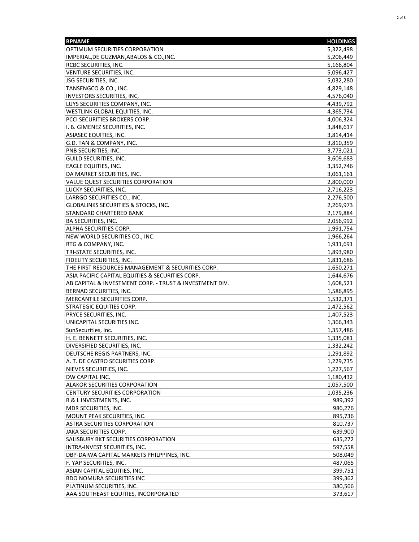| <b>BPNAME</b>                                           | <b>HOLDINGS</b> |
|---------------------------------------------------------|-----------------|
| OPTIMUM SECURITIES CORPORATION                          | 5,322,498       |
| IMPERIAL, DE GUZMAN, ABALOS & CO., INC.                 | 5,206,449       |
| <b>RCBC SECURITIES, INC.</b>                            | 5,166,804       |
| VENTURE SECURITIES, INC.                                | 5,096,427       |
| <b>JSG SECURITIES, INC.</b>                             | 5,032,280       |
| TANSENGCO & CO., INC.                                   | 4,829,148       |
| INVESTORS SECURITIES, INC,                              | 4,576,040       |
| LUYS SECURITIES COMPANY, INC.                           | 4,439,792       |
| WESTLINK GLOBAL EQUITIES, INC.                          | 4,365,734       |
| <b>PCCI SECURITIES BROKERS CORP.</b>                    | 4,006,324       |
| I. B. GIMENEZ SECURITIES, INC.                          | 3,848,617       |
| <b>ASIASEC EQUITIES, INC.</b>                           | 3,814,414       |
| G.D. TAN & COMPANY, INC.                                | 3,810,359       |
| PNB SECURITIES, INC.                                    | 3,773,021       |
| GUILD SECURITIES, INC.                                  | 3,609,683       |
| <b>EAGLE EQUITIES, INC.</b>                             | 3,352,746       |
| DA MARKET SECURITIES, INC.                              | 3,061,161       |
| VALUE QUEST SECURITIES CORPORATION                      | 2,800,000       |
| LUCKY SECURITIES, INC.                                  | 2,716,223       |
| LARRGO SECURITIES CO., INC.                             | 2,276,500       |
| <b>GLOBALINKS SECURITIES &amp; STOCKS, INC.</b>         | 2,269,973       |
| <b>STANDARD CHARTERED BANK</b>                          | 2,179,884       |
| <b>BA SECURITIES, INC.</b>                              | 2,056,992       |
| ALPHA SECURITIES CORP.                                  | 1,991,754       |
| NEW WORLD SECURITIES CO., INC.                          | 1,966,264       |
| <b>RTG &amp; COMPANY, INC.</b>                          | 1,931,691       |
| TRI-STATE SECURITIES, INC.                              | 1,893,980       |
| <b>FIDELITY SECURITIES, INC.</b>                        | 1,831,686       |
| THE FIRST RESOURCES MANAGEMENT & SECURITIES CORP.       | 1,650,271       |
| ASIA PACIFIC CAPITAL EQUITIES & SECURITIES CORP.        | 1,644,676       |
| AB CAPITAL & INVESTMENT CORP. - TRUST & INVESTMENT DIV. | 1,608,521       |
| BERNAD SECURITIES, INC.                                 | 1,586,895       |
| MERCANTILE SECURITIES CORP.                             | 1,532,371       |
| <b>STRATEGIC EQUITIES CORP.</b>                         | 1,472,562       |
| <b>PRYCE SECURITIES, INC.</b>                           | 1,407,523       |
| UNICAPITAL SECURITIES INC.                              | 1,366,343       |
| SunSecurities, Inc.                                     | 1,357,486       |
| H. E. BENNETT SECURITIES, INC.                          | 1,335,081       |
| DIVERSIFIED SECURITIES, INC.                            | 1,332,242       |
| DEUTSCHE REGIS PARTNERS, INC.                           | 1,291,892       |
| A. T. DE CASTRO SECURITIES CORP.                        | 1,229,735       |
| NIEVES SECURITIES, INC.                                 | 1,227,567       |
| DW CAPITAL INC.                                         | 1,180,432       |
| ALAKOR SECURITIES CORPORATION                           | 1,057,500       |
| CENTURY SECURITIES CORPORATION                          | 1,035,236       |
| R & L INVESTMENTS, INC.                                 | 989,392         |
| MDR SECURITIES, INC.                                    | 986,276         |
| MOUNT PEAK SECURITIES, INC.                             | 895,736         |
| ASTRA SECURITIES CORPORATION                            | 810,737         |
| <b>JAKA SECURITIES CORP.</b>                            | 639,900         |
| <b>SALISBURY BKT SECURITIES CORPORATION</b>             | 635,272         |
| INTRA-INVEST SECURITIES, INC.                           | 597,558         |
| DBP-DAIWA CAPITAL MARKETS PHILPPINES, INC.              | 508,049         |
| F. YAP SECURITIES, INC.                                 | 487,065         |
| ASIAN CAPITAL EQUITIES, INC.                            | 399,751         |
| <b>BDO NOMURA SECURITIES INC</b>                        | 399,362         |
| PLATINUM SECURITIES, INC.                               | 380,566         |
| AAA SOUTHEAST EQUITIES, INCORPORATED                    | 373,617         |